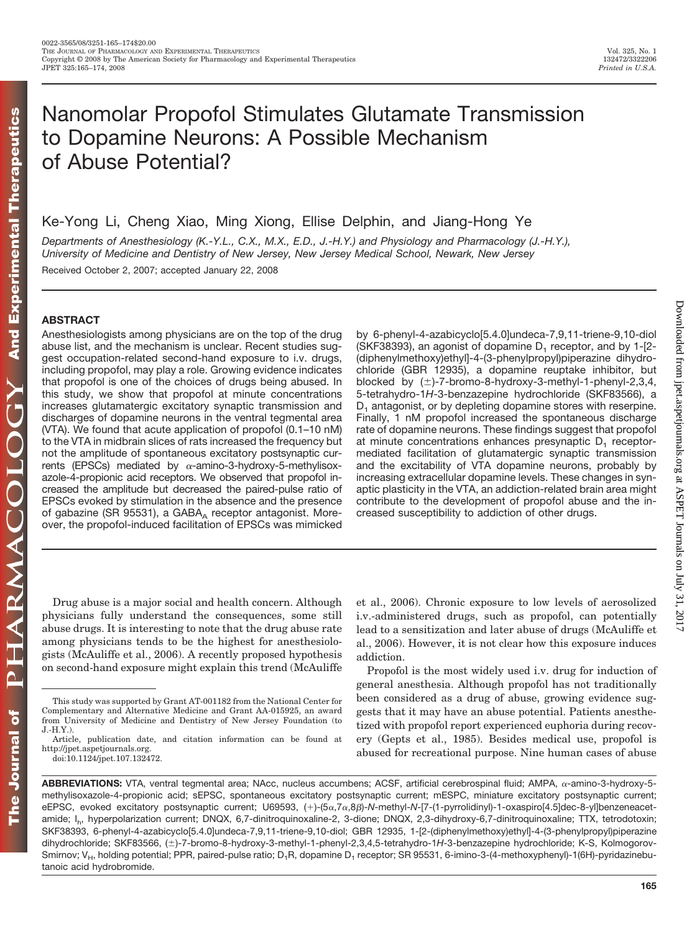# Nanomolar Propofol Stimulates Glutamate Transmission to Dopamine Neurons: A Possible Mechanism of Abuse Potential?

## Ke-Yong Li, Cheng Xiao, Ming Xiong, Ellise Delphin, and Jiang-Hong Ye

*Departments of Anesthesiology (K.-Y.L., C.X., M.X., E.D., J.-H.Y.) and Physiology and Pharmacology (J.-H.Y.), University of Medicine and Dentistry of New Jersey, New Jersey Medical School, Newark, New Jersey*

Received October 2, 2007; accepted January 22, 2008

#### **ABSTRACT**

Anesthesiologists among physicians are on the top of the drug abuse list, and the mechanism is unclear. Recent studies suggest occupation-related second-hand exposure to i.v. drugs, including propofol, may play a role. Growing evidence indicates that propofol is one of the choices of drugs being abused. In this study, we show that propofol at minute concentrations increases glutamatergic excitatory synaptic transmission and discharges of dopamine neurons in the ventral tegmental area (VTA). We found that acute application of propofol (0.1–10 nM) to the VTA in midbrain slices of rats increased the frequency but not the amplitude of spontaneous excitatory postsynaptic currents (EPSCs) mediated by  $\alpha$ -amino-3-hydroxy-5-methylisoxazole-4-propionic acid receptors. We observed that propofol increased the amplitude but decreased the paired-pulse ratio of EPSCs evoked by stimulation in the absence and the presence of gabazine (SR 95531), a GABA<sub>A</sub> receptor antagonist. Moreover, the propofol-induced facilitation of EPSCs was mimicked by 6-phenyl-4-azabicyclo[5.4.0]undeca-7,9,11-triene-9,10-diol (SKF38393), an agonist of dopamine  $D_1$  receptor, and by 1-[2-(diphenylmethoxy)ethyl]-4-(3-phenylpropyl)piperazine dihydrochloride (GBR 12935), a dopamine reuptake inhibitor, but blocked by  $(\pm)$ -7-bromo-8-hydroxy-3-methyl-1-phenyl-2,3,4, 5-tetrahydro-1*H*-3-benzazepine hydrochloride (SKF83566), a  $D_1$  antagonist, or by depleting dopamine stores with reserpine. Finally, 1 nM propofol increased the spontaneous discharge rate of dopamine neurons. These findings suggest that propofol at minute concentrations enhances presynaptic  $D_1$  receptormediated facilitation of glutamatergic synaptic transmission and the excitability of VTA dopamine neurons, probably by increasing extracellular dopamine levels. These changes in synaptic plasticity in the VTA, an addiction-related brain area might contribute to the development of propofol abuse and the increased susceptibility to addiction of other drugs.

Drug abuse is a major social and health concern. Although physicians fully understand the consequences, some still abuse drugs. It is interesting to note that the drug abuse rate among physicians tends to be the highest for anesthesiologists (McAuliffe et al., 2006). A recently proposed hypothesis on second-hand exposure might explain this trend (McAuliffe et al., 2006). Chronic exposure to low levels of aerosolized i.v.-administered drugs, such as propofol, can potentially lead to a sensitization and later abuse of drugs (McAuliffe et al., 2006). However, it is not clear how this exposure induces addiction.

Propofol is the most widely used i.v. drug for induction of general anesthesia. Although propofol has not traditionally been considered as a drug of abuse, growing evidence suggests that it may have an abuse potential. Patients anesthetized with propofol report experienced euphoria during recovery (Gepts et al., 1985). Besides medical use, propofol is abused for recreational purpose. Nine human cases of abuse

ABBREVIATIONS: VTA, ventral tegmental area; NAcc, nucleus accumbens; ACSF, artificial cerebrospinal fluid; AMPA, α-amino-3-hydroxy-5methylisoxazole-4-propionic acid; sEPSC, spontaneous excitatory postsynaptic current; mESPC, miniature excitatory postsynaptic current; eEPSC, evoked excitatory postsynaptic current; U69593, (+)-(5α,7α,8β)-N-methyl-N-[7-(1-pyrrolidinyl)-1-oxaspiro[4.5]dec-8-yl]benzeneacetamide; I<sub>b</sub>, hyperpolarization current; DNQX, 6,7-dinitroquinoxaline-2, 3-dione; DNQX, 2,3-dihydroxy-6,7-dinitroquinoxaline; TTX, tetrodotoxin; SKF38393, 6-phenyl-4-azabicyclo[5.4.0]undeca-7,9,11-triene-9,10-diol; GBR 12935, 1-[2-(diphenylmethoxy)ethyl]-4-(3-phenylpropyl)piperazine dihydrochloride; SKF83566, (±)-7-bromo-8-hydroxy-3-methyl-1-phenyl-2,3,4,5-tetrahydro-1H-3-benzazepine hydrochloride; K-S, Kolmogorov-Smirnov; V<sub>H</sub>, holding potential; PPR, paired-pulse ratio; D<sub>1</sub>R, dopamine D<sub>1</sub> receptor; SR 95531, 6-imino-3-(4-methoxyphenyl)-1(6H)-pyridazinebutanoic acid hydrobromide.

This study was supported by Grant AT-001182 from the National Center for Complementary and Alternative Medicine and Grant AA-015925, an award from University of Medicine and Dentistry of New Jersey Foundation (to J.-H.Y.).

Article, publication date, and citation information can be found at http://jpet.aspetjournals.org.

doi:10.1124/jpet.107.132472.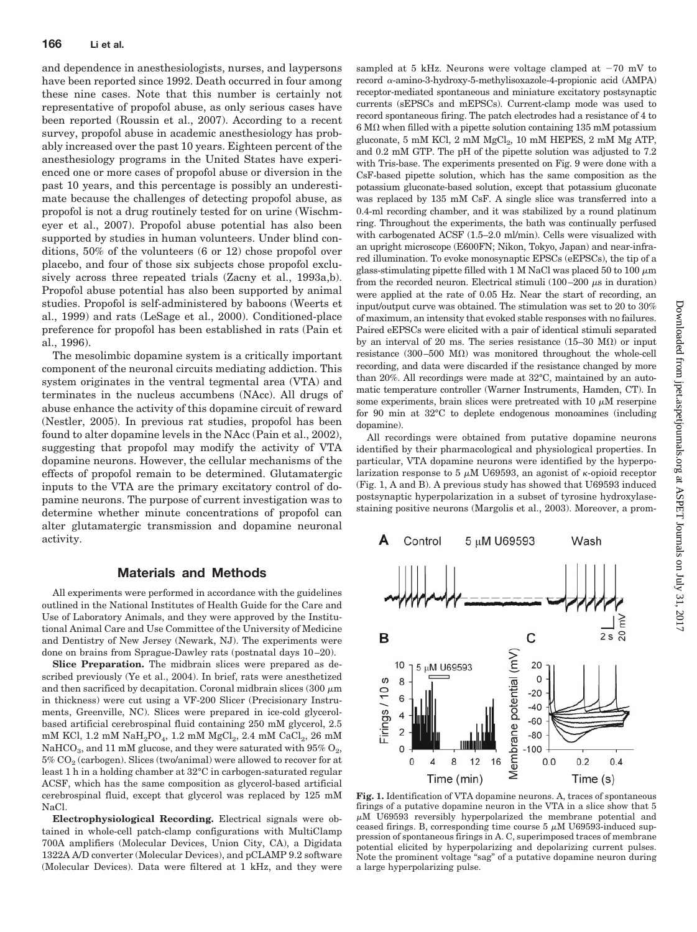and dependence in anesthesiologists, nurses, and laypersons have been reported since 1992. Death occurred in four among these nine cases. Note that this number is certainly not representative of propofol abuse, as only serious cases have been reported (Roussin et al., 2007). According to a recent survey, propofol abuse in academic anesthesiology has probably increased over the past 10 years. Eighteen percent of the anesthesiology programs in the United States have experienced one or more cases of propofol abuse or diversion in the past 10 years, and this percentage is possibly an underestimate because the challenges of detecting propofol abuse, as propofol is not a drug routinely tested for on urine (Wischmeyer et al., 2007). Propofol abuse potential has also been supported by studies in human volunteers. Under blind conditions, 50% of the volunteers (6 or 12) chose propofol over placebo, and four of those six subjects chose propofol exclusively across three repeated trials (Zacny et al., 1993a,b). Propofol abuse potential has also been supported by animal studies. Propofol is self-administered by baboons (Weerts et al., 1999) and rats (LeSage et al., 2000). Conditioned-place preference for propofol has been established in rats (Pain et al., 1996).

The mesolimbic dopamine system is a critically important component of the neuronal circuits mediating addiction. This system originates in the ventral tegmental area (VTA) and terminates in the nucleus accumbens (NAcc). All drugs of abuse enhance the activity of this dopamine circuit of reward (Nestler, 2005). In previous rat studies, propofol has been found to alter dopamine levels in the NAcc (Pain et al., 2002), suggesting that propofol may modify the activity of VTA dopamine neurons. However, the cellular mechanisms of the effects of propofol remain to be determined. Glutamatergic inputs to the VTA are the primary excitatory control of dopamine neurons. The purpose of current investigation was to determine whether minute concentrations of propofol can alter glutamatergic transmission and dopamine neuronal activity.

#### **Materials and Methods**

All experiments were performed in accordance with the guidelines outlined in the National Institutes of Health Guide for the Care and Use of Laboratory Animals, and they were approved by the Institutional Animal Care and Use Committee of the University of Medicine and Dentistry of New Jersey (Newark, NJ). The experiments were done on brains from Sprague-Dawley rats (postnatal days 10 –20).

**Slice Preparation.** The midbrain slices were prepared as described previously (Ye et al., 2004). In brief, rats were anesthetized and then sacrificed by decapitation. Coronal midbrain slices (300  $\mu$ m) in thickness) were cut using a VF-200 Slicer (Precisionary Instruments, Greenville, NC). Slices were prepared in ice-cold glycerolbased artificial cerebrospinal fluid containing 250 mM glycerol, 2.5 mM KCl,  $1.2 \text{ mM } \text{NaH}_2\text{PO}_4$ ,  $1.2 \text{ mM } \text{MgCl}_2$ ,  $2.4 \text{ mM } \text{CaCl}_2$ ,  $26 \text{ mM }$ NaHCO<sub>3</sub>, and 11 mM glucose, and they were saturated with  $95\%$  O<sub>2</sub>,  $5\%$  CO<sub>2</sub> (carbogen). Slices (two/animal) were allowed to recover for at least 1 h in a holding chamber at 32°C in carbogen-saturated regular ACSF, which has the same composition as glycerol-based artificial cerebrospinal fluid, except that glycerol was replaced by 125 mM NaCl.

**Electrophysiological Recording.** Electrical signals were obtained in whole-cell patch-clamp configurations with MultiClamp 700A amplifiers (Molecular Devices, Union City, CA), a Digidata 1322A A/D converter (Molecular Devices), and pCLAMP 9.2 software (Molecular Devices). Data were filtered at 1 kHz, and they were sampled at 5 kHz. Neurons were voltage clamped at  $-70$  mV to record  $\alpha$ -amino-3-hydroxy-5-methylisoxazole-4-propionic acid (AMPA) receptor-mediated spontaneous and miniature excitatory postsynaptic currents (sEPSCs and mEPSCs). Current-clamp mode was used to record spontaneous firing. The patch electrodes had a resistance of 4 to  $6 \text{ M}\Omega$  when filled with a pipette solution containing 135 mM potassium gluconate,  $5 \text{ mM KCl}$ ,  $2 \text{ mM MgCl}_2$ ,  $10 \text{ mM HEPES}$ ,  $2 \text{ mM Mg ATP}$ , and 0.2 mM GTP. The pH of the pipette solution was adjusted to 7.2 with Tris-base. The experiments presented on Fig. 9 were done with a CsF-based pipette solution, which has the same composition as the potassium gluconate-based solution, except that potassium gluconate was replaced by 135 mM CsF. A single slice was transferred into a 0.4-ml recording chamber, and it was stabilized by a round platinum ring. Throughout the experiments, the bath was continually perfused with carbogenated ACSF (1.5–2.0 ml/min). Cells were visualized with an upright microscope (E600FN; Nikon, Tokyo, Japan) and near-infrared illumination. To evoke monosynaptic EPSCs (eEPSCs), the tip of a glass-stimulating pipette filled with 1 M NaCl was placed 50 to 100  $\mu$ m from the recorded neuron. Electrical stimuli  $(100-200 \mu s)$  in duration) were applied at the rate of 0.05 Hz. Near the start of recording, an input/output curve was obtained. The stimulation was set to 20 to 30% of maximum, an intensity that evoked stable responses with no failures. Paired eEPSCs were elicited with a pair of identical stimuli separated by an interval of 20 ms. The series resistance  $(15-30 \text{ M}\Omega)$  or input resistance (300–500  $M\Omega$ ) was monitored throughout the whole-cell recording, and data were discarded if the resistance changed by more than 20%. All recordings were made at 32°C, maintained by an automatic temperature controller (Warner Instruments, Hamden, CT). In some experiments, brain slices were pretreated with 10  $\mu$ M reserpine for 90 min at 32°C to deplete endogenous monoamines (including dopamine).

All recordings were obtained from putative dopamine neurons identified by their pharmacological and physiological properties. In particular, VTA dopamine neurons were identified by the hyperpolarization response to 5  $\mu$ M U69593, an agonist of  $\kappa$ -opioid receptor (Fig. 1, A and B). A previous study has showed that U69593 induced postsynaptic hyperpolarization in a subset of tyrosine hydroxylasestaining positive neurons (Margolis et al., 2003). Moreover, a prom-



**Fig. 1.** Identification of VTA dopamine neurons. A, traces of spontaneous firings of a putative dopamine neuron in the VTA in a slice show that 5  $\mu$ M U69593 reversibly hyperpolarized the membrane potential and ceased firings. B, corresponding time course  $5 \mu M$  U69593-induced suppression of spontaneous firings in A. C, superimposed traces of membrane potential elicited by hyperpolarizing and depolarizing current pulses. Note the prominent voltage "sag" of a putative dopamine neuron during a large hyperpolarizing pulse.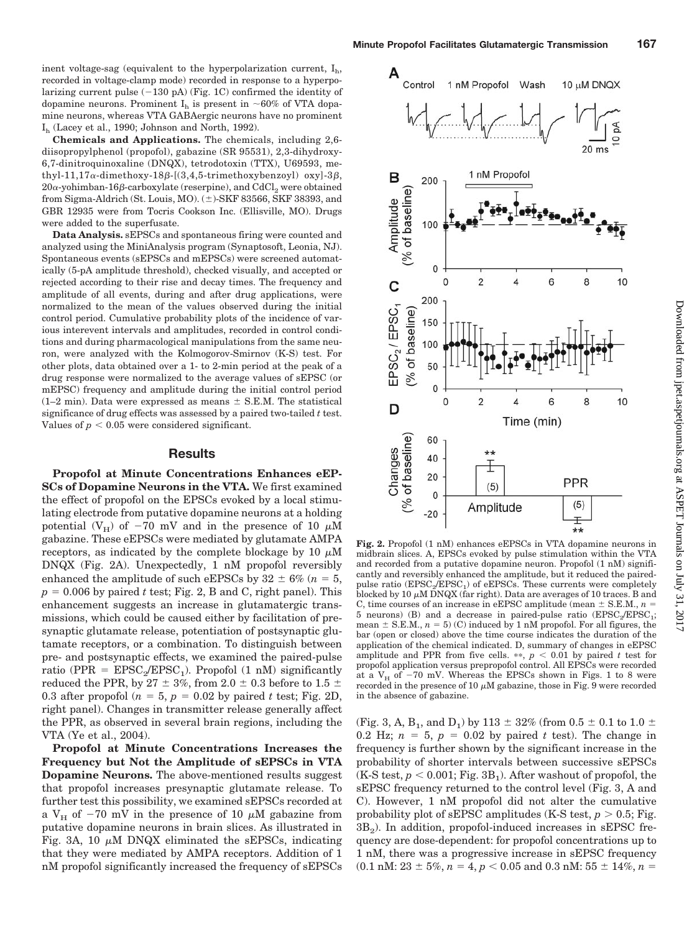$I<sub>h</sub>$  (Lacey et al., 1990; Johnson and North, 1992). **Chemicals and Applications.** The chemicals, including 2,6 diisopropylphenol (propofol), gabazine (SR 95531), 2,3-dihydroxy-6,7-dinitroquinoxaline (DNQX), tetrodotoxin (TTX), U69593, methyl-11,17 $\alpha$ -dimethoxy-18 $\beta$ -[(3,4,5-trimethoxybenzoyl) oxy]-3 $\beta$ ,  $20\alpha$ -yohimban-16 $\beta$ -carboxylate (reserpine), and  $\mathrm{CdCl}_2$  were obtained from Sigma-Aldrich (St. Louis, MO).  $(\pm)$ -SKF 83566, SKF 38393, and GBR 12935 were from Tocris Cookson Inc. (Ellisville, MO). Drugs were added to the superfusate.

**Data Analysis.** sEPSCs and spontaneous firing were counted and analyzed using the MiniAnalysis program (Synaptosoft, Leonia, NJ). Spontaneous events (sEPSCs and mEPSCs) were screened automatically (5-pA amplitude threshold), checked visually, and accepted or rejected according to their rise and decay times. The frequency and amplitude of all events, during and after drug applications, were normalized to the mean of the values observed during the initial control period. Cumulative probability plots of the incidence of various interevent intervals and amplitudes, recorded in control conditions and during pharmacological manipulations from the same neuron, were analyzed with the Kolmogorov-Smirnov (K-S) test. For other plots, data obtained over a 1- to 2-min period at the peak of a drug response were normalized to the average values of sEPSC (or mEPSC) frequency and amplitude during the initial control period  $(1-2 \text{ min})$ . Data were expressed as means  $\pm$  S.E.M. The statistical significance of drug effects was assessed by a paired two-tailed *t* test. Values of  $p < 0.05$  were considered significant.

#### **Results**

**Propofol at Minute Concentrations Enhances eEP-SCs of Dopamine Neurons in the VTA.** We first examined the effect of propofol on the EPSCs evoked by a local stimulating electrode from putative dopamine neurons at a holding potential ( $V_H$ ) of -70 mV and in the presence of 10  $\mu$ M gabazine. These eEPSCs were mediated by glutamate AMPA receptors, as indicated by the complete blockage by 10  $\mu$ M DNQX (Fig. 2A). Unexpectedly, 1 nM propofol reversibly enhanced the amplitude of such eEPSCs by  $32 \pm 6\%$  ( $n = 5$ ,  $p = 0.006$  by paired *t* test; Fig. 2, B and C, right panel). This enhancement suggests an increase in glutamatergic transmissions, which could be caused either by facilitation of presynaptic glutamate release, potentiation of postsynaptic glutamate receptors, or a combination. To distinguish between pre- and postsynaptic effects, we examined the paired-pulse ratio (PPR =  $EPSC<sub>2</sub>/EPSC<sub>1</sub>$ ). Propofol (1 nM) significantly reduced the PPR, by 27  $\pm$  3%, from 2.0  $\pm$  0.3 before to 1.5  $\pm$ 0.3 after propofol ( $n = 5$ ,  $p = 0.02$  by paired *t* test; Fig. 2D, right panel). Changes in transmitter release generally affect the PPR, as observed in several brain regions, including the VTA (Ye et al., 2004).

**Propofol at Minute Concentrations Increases the Frequency but Not the Amplitude of sEPSCs in VTA Dopamine Neurons.** The above-mentioned results suggest that propofol increases presynaptic glutamate release. To further test this possibility, we examined sEPSCs recorded at a V<sub>H</sub> of  $-70$  mV in the presence of 10  $\mu$ M gabazine from putative dopamine neurons in brain slices. As illustrated in Fig. 3A, 10  $\mu$ M DNQX eliminated the sEPSCs, indicating that they were mediated by AMPA receptors. Addition of 1 nM propofol significantly increased the frequency of sEPSCs



**Fig. 2.** Propofol (1 nM) enhances eEPSCs in VTA dopamine neurons in midbrain slices. A, EPSCs evoked by pulse stimulation within the VTA and recorded from a putative dopamine neuron. Propofol (1 nM) significantly and reversibly enhanced the amplitude, but it reduced the pairedpulse ratio  $(EPSC_2/EPSC_1)$  of eEPSCs. These currents were completely blocked by 10  $\mu$ M DNQX (far right). Data are averages of 10 traces. B and C, time courses of an increase in eEPSC amplitude (mean  $\pm$  S.E.M.,  $n =$ 5 neurons) (B) and a decrease in paired-pulse ratio  $(EPSC<sub>2</sub>/EPSC<sub>1</sub>;$ mean  $\pm$  S.E.M.,  $n = 5$ ) (C) induced by 1 nM propofol. For all figures, the bar (open or closed) above the time course indicates the duration of the application of the chemical indicated. D, summary of changes in eEPSC amplitude and PPR from five cells.  $**$ ,  $p < 0.01$  by paired *t* test for propofol application versus prepropofol control. All EPSCs were recorded at a  $V_H$  of  $-70$  mV. Whereas the EPSCs shown in Figs. 1 to 8 were recorded in the presence of 10  $\mu$ M gabazine, those in Fig. 9 were recorded in the absence of gabazine.

(Fig. 3, A, B<sub>1</sub>, and D<sub>1</sub>) by 113  $\pm$  32% (from 0.5  $\pm$  0.1 to 1.0  $\pm$ 0.2 Hz;  $n = 5$ ,  $p = 0.02$  by paired t test). The change in frequency is further shown by the significant increase in the probability of shorter intervals between successive sEPSCs  $(K-S$  test,  $p < 0.001$ ; Fig. 3B<sub>1</sub>). After washout of propofol, the sEPSC frequency returned to the control level (Fig. 3, A and C). However, 1 nM propofol did not alter the cumulative probability plot of sEPSC amplitudes (K-S test,  $p > 0.5$ ; Fig.  $3B<sub>2</sub>$ ). In addition, propofol-induced increases in sEPSC frequency are dose-dependent: for propofol concentrations up to 1 nM, there was a progressive increase in sEPSC frequency  $(0.1 \text{ nM}: 23 \pm 5\%, n = 4, p < 0.05 \text{ and } 0.3 \text{ nM}: 55 \pm 14\%, n = 1.0 \text{ m}$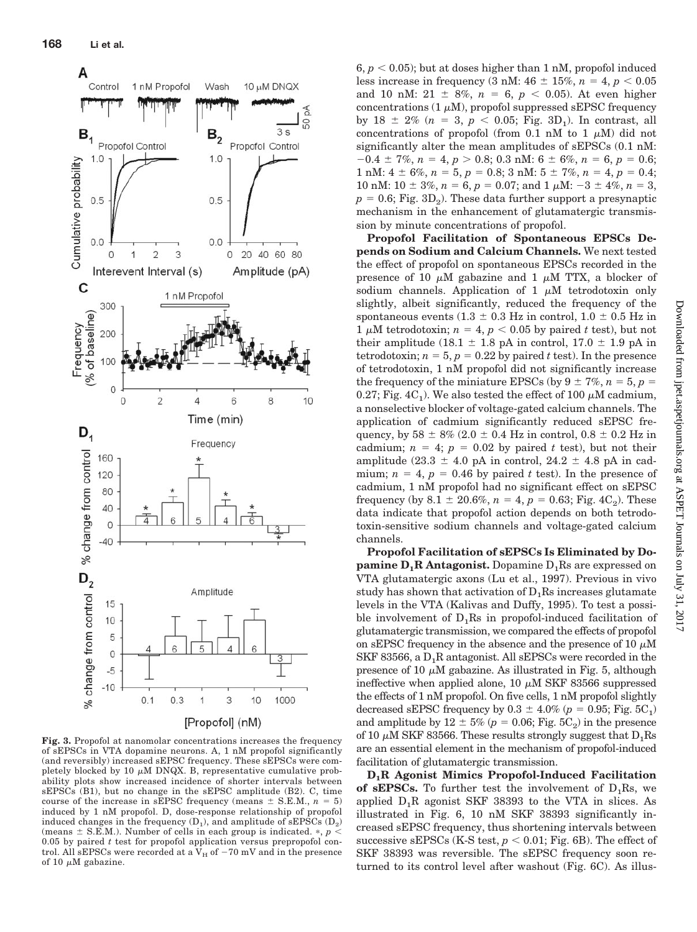

**Fig. 3.** Propofol at nanomolar concentrations increases the frequency of sEPSCs in VTA dopamine neurons. A, 1 nM propofol significantly (and reversibly) increased sEPSC frequency. These sEPSCs were completely blocked by 10  $\mu$ M DNQX. B, representative cumulative probability plots show increased incidence of shorter intervals between sEPSCs (B1), but no change in the sEPSC amplitude (B2). C, time course of the increase in sEPSC frequency (means  $\pm$  S.E.M.,  $n = 5$ ) induced by 1 nM propofol. D, dose-response relationship of propofol induced changes in the frequency  $(D_1)$ , and amplitude of sEPSCs  $(D_2)$ (means  $\pm$  S.E.M.). Number of cells in each group is indicated.  $\ast$ ,  $p$  < 0.05 by paired *t* test for propofol application versus prepropofol control. All sEPSCs were recorded at a  $\rm V_{H}$  of  $-70$  mV and in the presence of 10  $\mu$ M gabazine.

 $6, p < 0.05$ ; but at doses higher than 1 nM, propofol induced less increase in frequency (3 nM:  $46 \pm 15\%$ ,  $n = 4$ ,  $p < 0.05$ and 10 nM:  $21 \pm 8\%$ ,  $n = 6$ ,  $p < 0.05$ ). At even higher concentrations (1  $\mu$ M), propofol suppressed sEPSC frequency by 18  $\pm$  2% ( $n = 3$ ,  $p < 0.05$ ; Fig. 3D<sub>1</sub>). In contrast, all concentrations of propofol (from 0.1 nM to 1  $\mu$ M) did not significantly alter the mean amplitudes of sEPSCs (0.1 nM:  $-0.4 \pm 7\%, n = 4, p > 0.8; 0.3 \text{ nM}: 6 \pm 6\%, n = 6, p = 0.6;$ 1 nM:  $4 \pm 6\%, n = 5, p = 0.8$ ;  $3 \text{ nM}$ :  $5 \pm 7\%, n = 4, p = 0.4$ ; 10 nM:  $10 \pm 3\%, n = 6, p = 0.07$ ; and  $1 \mu$ M:  $-3 \pm 4\%, n = 3$ ,  $p = 0.6$ ; Fig. 3D<sub>2</sub>). These data further support a presynaptic mechanism in the enhancement of glutamatergic transmission by minute concentrations of propofol.

**Propofol Facilitation of Spontaneous EPSCs Depends on Sodium and Calcium Channels.** We next tested the effect of propofol on spontaneous EPSCs recorded in the presence of 10  $\mu$ M gabazine and 1  $\mu$ M TTX, a blocker of sodium channels. Application of 1  $\mu$ M tetrodotoxin only slightly, albeit significantly, reduced the frequency of the spontaneous events (1.3  $\pm$  0.3 Hz in control, 1.0  $\pm$  0.5 Hz in 1  $\mu$ M tetrodotoxin; *n* = 4, *p* < 0.05 by paired *t* test), but not their amplitude (18.1  $\pm$  1.8 pA in control, 17.0  $\pm$  1.9 pA in tetrodotoxin;  $n = 5$ ,  $p = 0.22$  by paired *t* test). In the presence of tetrodotoxin, 1 nM propofol did not significantly increase the frequency of the miniature EPSCs (by  $9 \pm 7\%$ ,  $n = 5$ ,  $p =$ 0.27; Fig. 4C<sub>1</sub>). We also tested the effect of 100  $\mu$ M cadmium, a nonselective blocker of voltage-gated calcium channels. The application of cadmium significantly reduced sEPSC frequency, by  $58 \pm 8\%$  (2.0  $\pm$  0.4 Hz in control, 0.8  $\pm$  0.2 Hz in cadmium;  $n = 4$ ;  $p = 0.02$  by paired *t* test), but not their amplitude (23.3  $\pm$  4.0 pA in control, 24.2  $\pm$  4.8 pA in cadmium;  $n = 4$ ,  $p = 0.46$  by paired t test). In the presence of cadmium, 1 nM propofol had no significant effect on sEPSC frequency (by  $8.1 \pm 20.6\%, n = 4, p = 0.63$ ; Fig.  $4C_2$ ). These data indicate that propofol action depends on both tetrodotoxin-sensitive sodium channels and voltage-gated calcium channels.

**Propofol Facilitation of sEPSCs Is Eliminated by Dopamine**  $D_1R$  **Antagonist.** Dopamine  $D_1R$ s are expressed on VTA glutamatergic axons (Lu et al., 1997). Previous in vivo study has shown that activation of  $D_1Rs$  increases glutamate levels in the VTA (Kalivas and Duffy, 1995). To test a possible involvement of  $D_1Rs$  in propofol-induced facilitation of glutamatergic transmission, we compared the effects of propofol on sEPSC frequency in the absence and the presence of 10  $\mu$ M SKF 83566, a  $D_1R$  antagonist. All sEPSCs were recorded in the presence of 10  $\mu$ M gabazine. As illustrated in Fig. 5, although ineffective when applied alone, 10  $\mu$ M SKF 83566 suppressed the effects of 1 nM propofol. On five cells, 1 nM propofol slightly decreased sEPSC frequency by  $0.3 \pm 4.0\%$  ( $p = 0.95$ ; Fig.  $5C_1$ ) and amplitude by  $12 \pm 5\%$  ( $p = 0.06$ ; Fig.  $5C_2$ ) in the presence of 10  $\mu$ M SKF 83566. These results strongly suggest that  $D_1Rs$ are an essential element in the mechanism of propofol-induced facilitation of glutamatergic transmission.

**D1R Agonist Mimics Propofol-Induced Facilitation** of **sEPSCs.** To further test the involvement of  $D_1Rs$ , we applied  $D_1R$  agonist SKF 38393 to the VTA in slices. As illustrated in Fig. 6, 10 nM SKF 38393 significantly increased sEPSC frequency, thus shortening intervals between successive sEPSCs (K-S test,  $p < 0.01$ ; Fig. 6B). The effect of SKF 38393 was reversible. The sEPSC frequency soon returned to its control level after washout (Fig. 6C). As illus-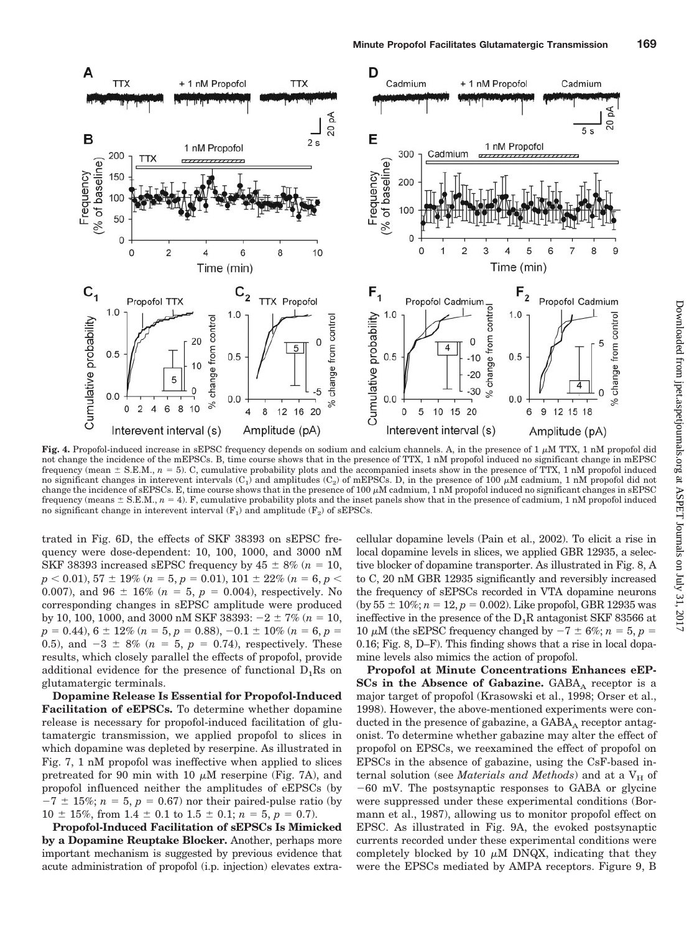

Fig. 4. Propofol-induced increase in sEPSC frequency depends on sodium and calcium channels. A, in the presence of  $1 \mu M TTX$ , 1 nM propofol did not change the incidence of the mEPSCs. B, time course shows that in the presence of TTX, 1 nM propofol induced no significant change in mEPSC frequency (mean  $\pm$  S.E.M.,  $n = 5$ ). C, cumulative probability plots and the accompanied insets show in the presence of TTX, 1 nM propofol induced no significant changes in interevent intervals  $(C_1)$  and amplitudes  $(C_2)$  of mEPSCs. D, in the presence of 100  $\mu$ M cadmium, 1 nM propofol did not change the incidence of sEPSCs. E, time course shows that in the presence of 100  $\mu$ M cadmium, 1 nM propofol induced no significant changes in sEPSC frequency (means  $\pm$  S.E.M.,  $n = 4$ ). F, cumulative probability plots and the inset panels show that in the presence of cadmium, 1 nM propofol induced no significant change in interevent interval  $(F_1)$  and amplitude  $(F_2)$  of sEPSCs.

trated in Fig. 6D, the effects of SKF 38393 on sEPSC frequency were dose-dependent: 10, 100, 1000, and 3000 nM SKF 38393 increased sEPSC frequency by  $45 \pm 8\%$  ( $n = 10$ ,  $p$  < 0.01), 57  $\pm$  19% ( $n = 5$ ,  $p = 0.01$ ), 101  $\pm$  22% ( $n = 6$ ,  $p$  < 0.007), and 96  $\pm$  16% ( $n = 5$ ,  $p = 0.004$ ), respectively. No corresponding changes in sEPSC amplitude were produced by 10, 100, 1000, and 3000 nM SKF 38393:  $-2 \pm 7\%$  ( $n = 10$ ,  $p = 0.44$ ,  $6 \pm 12\%$  ( $n = 5$ ,  $p = 0.88$ ),  $-0.1 \pm 10\%$  ( $n = 6$ ,  $p =$ 0.5), and  $-3 \pm 8\%$  ( $n = 5$ ,  $p = 0.74$ ), respectively. These results, which closely parallel the effects of propofol, provide additional evidence for the presence of functional  $D_1Rs$  on glutamatergic terminals.

**Dopamine Release Is Essential for Propofol-Induced Facilitation of eEPSCs.** To determine whether dopamine release is necessary for propofol-induced facilitation of glutamatergic transmission, we applied propofol to slices in which dopamine was depleted by reserpine. As illustrated in Fig. 7, 1 nM propofol was ineffective when applied to slices pretreated for 90 min with 10  $\mu$ M reserpine (Fig. 7A), and propofol influenced neither the amplitudes of eEPSCs (by  $-7 \pm 15\%$ ;  $n = 5$ ,  $p = 0.67$ ) nor their paired-pulse ratio (by  $10 \pm 15\%$ , from  $1.4 \pm 0.1$  to  $1.5 \pm 0.1$ ;  $n = 5$ ,  $p = 0.7$ ).

**Propofol-Induced Facilitation of sEPSCs Is Mimicked by a Dopamine Reuptake Blocker.** Another, perhaps more important mechanism is suggested by previous evidence that acute administration of propofol (i.p. injection) elevates extracellular dopamine levels (Pain et al., 2002). To elicit a rise in local dopamine levels in slices, we applied GBR 12935, a selective blocker of dopamine transporter. As illustrated in Fig. 8, A to C, 20 nM GBR 12935 significantly and reversibly increased the frequency of sEPSCs recorded in VTA dopamine neurons  $(by 55 \pm 10\%; n = 12, p = 0.002)$ . Like propofol, GBR 12935 was ineffective in the presence of the  $D_1R$  antagonist SKF 83566 at 10  $\mu$ M (the sEPSC frequency changed by  $-7 \pm 6\%$ ;  $n = 5$ ,  $p =$ 0.16; Fig. 8, D–F). This finding shows that a rise in local dopamine levels also mimics the action of propofol.

**Propofol at Minute Concentrations Enhances eEP-SCs in the Absence of Gabazine.** GABA<sub>A</sub> receptor is a major target of propofol (Krasowski et al., 1998; Orser et al., 1998). However, the above-mentioned experiments were conducted in the presence of gabazine, a  $GABA_A$  receptor antagonist. To determine whether gabazine may alter the effect of propofol on EPSCs, we reexamined the effect of propofol on EPSCs in the absence of gabazine, using the CsF-based internal solution (see *Materials and Methods*) and at a  $V_H$  of  $-60$  mV. The postsynaptic responses to GABA or glycine were suppressed under these experimental conditions (Bormann et al., 1987), allowing us to monitor propofol effect on EPSC. As illustrated in Fig. 9A, the evoked postsynaptic currents recorded under these experimental conditions were completely blocked by 10  $\mu$ M DNQX, indicating that they were the EPSCs mediated by AMPA receptors. Figure 9, B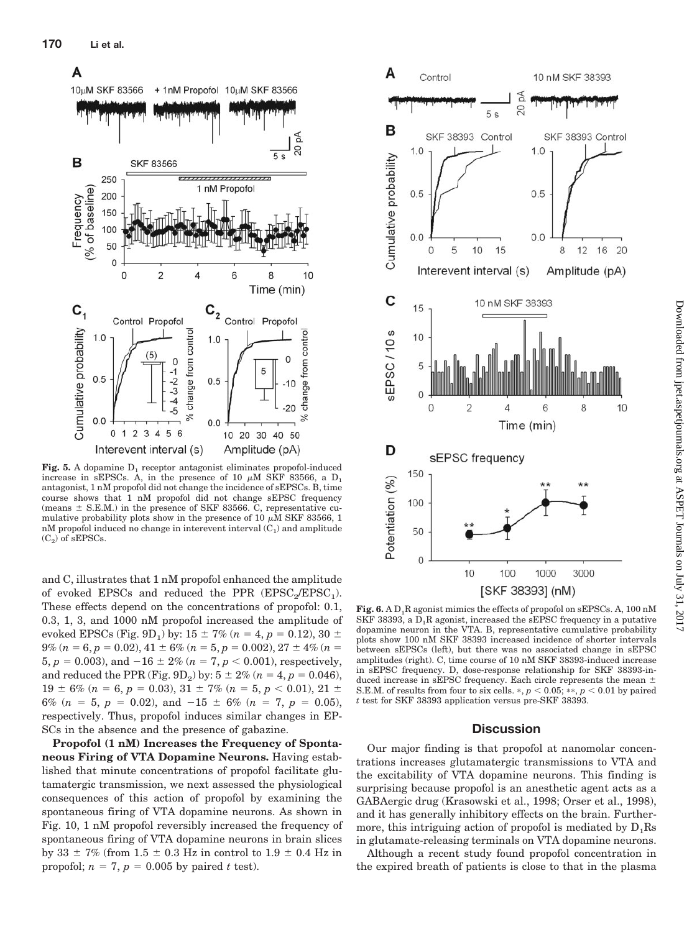

**Fig. 5.** A dopamine  $D_1$  receptor antagonist eliminates propofol-induced increase in sEPSCs. A, in the presence of 10  $\mu$ M SKF 83566, a D<sub>1</sub> antagonist, 1 nM propofol did not change the incidence of sEPSCs. B, time course shows that 1 nM propofol did not change sEPSC frequency (means  $\pm$  S.E.M.) in the presence of SKF 83566. C, representative cumulative probability plots show in the presence of 10  $\mu$ M SKF 83566, 1 nM propofol induced no change in interevent interval  $(C_1)$  and amplitude  $(C_2)$  of sEPSCs.

and C, illustrates that 1 nM propofol enhanced the amplitude of evoked EPSCs and reduced the PPR  $(EPSC<sub>2</sub>/EPSC<sub>1</sub>)$ . These effects depend on the concentrations of propofol: 0.1, 0.3, 1, 3, and 1000 nM propofol increased the amplitude of evoked EPSCs (Fig. 9D<sub>1</sub>) by:  $15 \pm 7\%$  ( $n = 4$ ,  $p = 0.12$ ),  $30 \pm 7\%$  $9\%$   $(n = 6, p = 0.02), 41 \pm 6\%$   $(n = 5, p = 0.002), 27 \pm 4\%$   $(n = 1, p = 0.002)$ 5,  $p = 0.003$ ), and  $-16 \pm 2\%$  ( $n = 7$ ,  $p < 0.001$ ), respectively, and reduced the PPR (Fig. 9D<sub>2</sub>) by:  $5 \pm 2\%$  ( $n = 4$ ,  $p = 0.046$ ),  $19 \pm 6\%$  (*n* = 6, *p* = 0.03),  $31 \pm 7\%$  (*n* = 5, *p* < 0.01),  $21 \pm$ 6% ( $n = 5$ ,  $p = 0.02$ ), and  $-15 \pm 6$ % ( $n = 7$ ,  $p = 0.05$ ), respectively. Thus, propofol induces similar changes in EP-SCs in the absence and the presence of gabazine.

**Propofol (1 nM) Increases the Frequency of Spontaneous Firing of VTA Dopamine Neurons.** Having established that minute concentrations of propofol facilitate glutamatergic transmission, we next assessed the physiological consequences of this action of propofol by examining the spontaneous firing of VTA dopamine neurons. As shown in Fig. 10, 1 nM propofol reversibly increased the frequency of spontaneous firing of VTA dopamine neurons in brain slices by 33  $\pm$  7% (from 1.5  $\pm$  0.3 Hz in control to 1.9  $\pm$  0.4 Hz in propofol;  $n = 7$ ,  $p = 0.005$  by paired *t* test).



Fig. 6. A  $D_1R$  agonist mimics the effects of propofol on sEPSCs. A, 100 nM SKF 38393, a  $\overline{D}_1$ R agonist, increased the sEPSC frequency in a putative dopamine neuron in the VTA. B, representative cumulative probability plots show 100 nM SKF 38393 increased incidence of shorter intervals between sEPSCs (left), but there was no associated change in sEPSC amplitudes (right). C, time course of 10 nM SKF 38393-induced increase in sEPSC frequency. D, dose-response relationship for SKF 38393-induced increase in sEPSC frequency. Each circle represents the mean  $\pm$ S.E.M. of results from four to six cells.  $*, p < 0.05; **, p < 0.01$  by paired *t* test for SKF 38393 application versus pre-SKF 38393.

### **Discussion**

Our major finding is that propofol at nanomolar concentrations increases glutamatergic transmissions to VTA and the excitability of VTA dopamine neurons. This finding is surprising because propofol is an anesthetic agent acts as a GABAergic drug (Krasowski et al., 1998; Orser et al., 1998), and it has generally inhibitory effects on the brain. Furthermore, this intriguing action of propofol is mediated by  $D_1Rs$ in glutamate-releasing terminals on VTA dopamine neurons.

Although a recent study found propofol concentration in the expired breath of patients is close to that in the plasma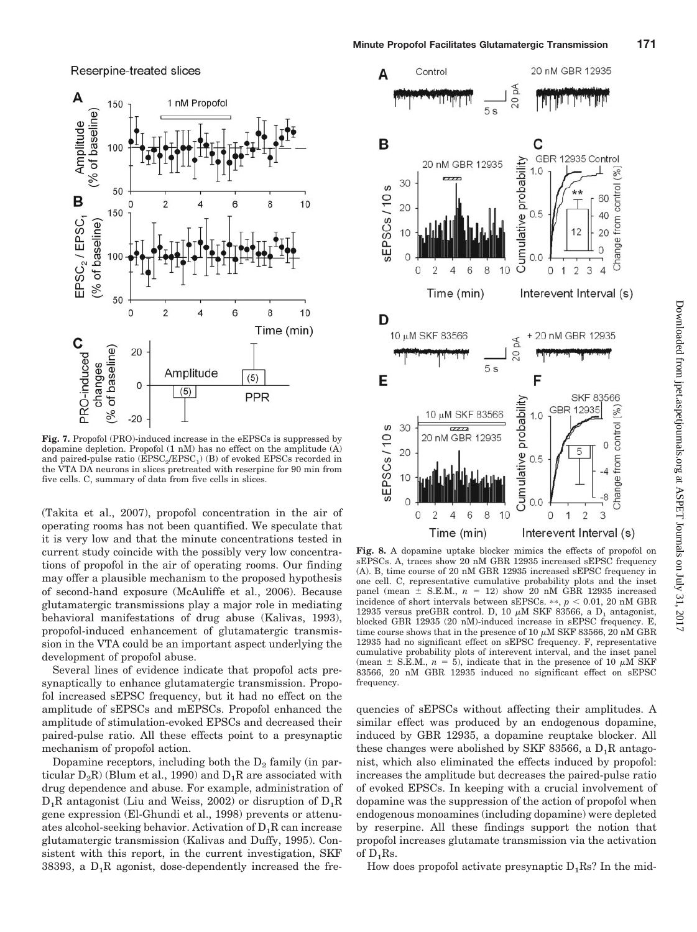Reserpine-treated slices



Fig. 7. Propofol (PRO)-induced increase in the eEPSCs is suppressed by dopamine depletion. Propofol (1 nM) has no effect on the amplitude (A) and paired-pulse ratio  $(\text{EPSC}_2/\text{EPSC}_1)$  (B) of evoked EPSCs recorded in the VTA DA neurons in slices pretreated with reserpine for 90 min from five cells. C, summary of data from five cells in slices.

(Takita et al., 2007), propofol concentration in the air of operating rooms has not been quantified. We speculate that it is very low and that the minute concentrations tested in current study coincide with the possibly very low concentrations of propofol in the air of operating rooms. Our finding may offer a plausible mechanism to the proposed hypothesis of second-hand exposure (McAuliffe et al., 2006). Because glutamatergic transmissions play a major role in mediating behavioral manifestations of drug abuse (Kalivas, 1993), propofol-induced enhancement of glutamatergic transmission in the VTA could be an important aspect underlying the development of propofol abuse.

Several lines of evidence indicate that propofol acts presynaptically to enhance glutamatergic transmission. Propofol increased sEPSC frequency, but it had no effect on the amplitude of sEPSCs and mEPSCs. Propofol enhanced the amplitude of stimulation-evoked EPSCs and decreased their paired-pulse ratio. All these effects point to a presynaptic mechanism of propofol action.

Dopamine receptors, including both the  $D_2$  family (in particular  $D_2R$ ) (Blum et al., 1990) and  $D_1R$  are associated with drug dependence and abuse. For example, administration of  $D_1R$  antagonist (Liu and Weiss, 2002) or disruption of  $D_1R$ gene expression (El-Ghundi et al., 1998) prevents or attenuates alcohol-seeking behavior. Activation of  $D_1R$  can increase glutamatergic transmission (Kalivas and Duffy, 1995). Consistent with this report, in the current investigation, SKF 38393, a  $D_1R$  agonist, dose-dependently increased the fre-



**Fig. 8.** A dopamine uptake blocker mimics the effects of propofol on sEPSCs. A, traces show 20 nM GBR 12935 increased sEPSC frequency (A). B, time course of 20 nM GBR 12935 increased sEPSC frequency in one cell. C, representative cumulative probability plots and the inset panel (mean  $\pm$  S.E.M.,  $n = 12$ ) show 20 nM GBR 12935 increased incidence of short intervals between sEPSCs.  $**$ ,  $p < 0.01$ , 20 nM GBR 12935 versus preGBR control. D, 10  $\mu$ M SKF 83566, a D<sub>1</sub> antagonist, blocked GBR 12935 (20 nM)-induced increase in sEPSC frequency. E time course shows that in the presence of 10  $\mu$ M SKF 83566, 20 nM GBR 12935 had no significant effect on sEPSC frequency. F, representative cumulative probability plots of interevent interval, and the inset panel (mean  $\pm$  S.E.M.,  $n = 5$ ), indicate that in the presence of 10  $\mu$ M SKF 83566, 20 nM GBR 12935 induced no significant effect on sEPSC frequency.

quencies of sEPSCs without affecting their amplitudes. A similar effect was produced by an endogenous dopamine, induced by GBR 12935, a dopamine reuptake blocker. All these changes were abolished by SKF 83566, a  $D_1R$  antagonist, which also eliminated the effects induced by propofol: increases the amplitude but decreases the paired-pulse ratio of evoked EPSCs. In keeping with a crucial involvement of dopamine was the suppression of the action of propofol when endogenous monoamines (including dopamine) were depleted by reserpine. All these findings support the notion that propofol increases glutamate transmission via the activation of  $D_1$ Rs.

How does propofol activate presynaptic  $D_1$ Rs? In the mid-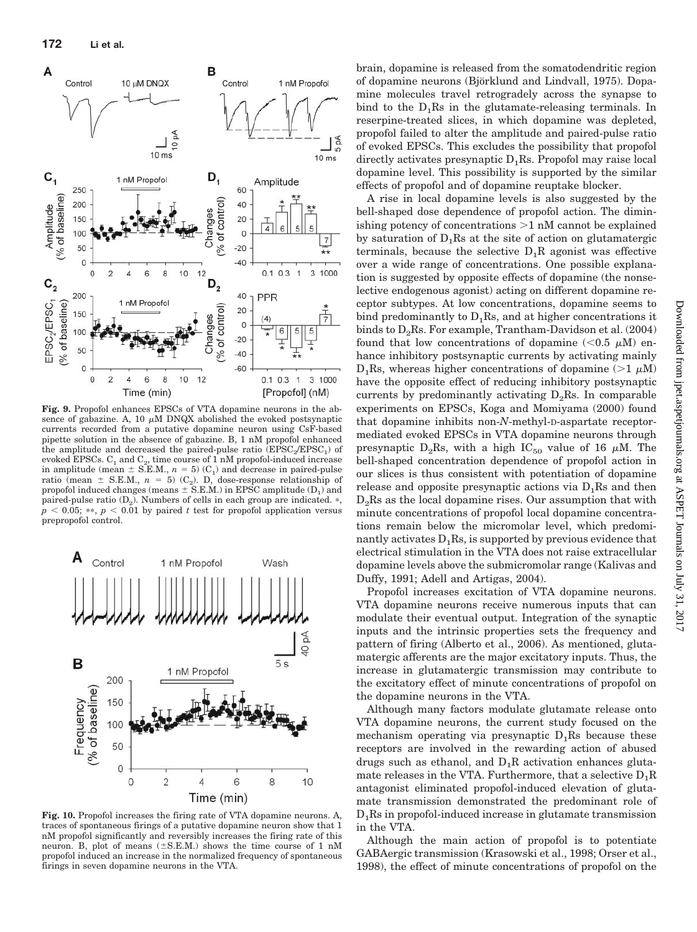

**Fig. 9.** Propofol enhances EPSCs of VTA dopamine neurons in the absence of gabazine. A, 10  $\mu$ M DNQX abolished the evoked postsynaptic currents recorded from a putative dopamine neuron using CsF-based pipette solution in the absence of gabazine. B, 1 nM propofol enhanced the amplitude and decreased the paired-pulse ratio  $(EPSC<sub>2</sub>/EPSC<sub>1</sub>)$  of evoked EPSCs.  $C_1$  and  $C_2$ , time course of 1 nM propofol-induced increase in amplitude (mean  $\pm$  S.E.M.,  $n = 5$ ) (C<sub>1</sub>) and decrease in paired-pulse ratio (mean  $\pm$  S.E.M.,  $n = 5$ ) (C<sub>2</sub>). D, dose-response relationship of propofol induced changes (means  $\pm$  S.E.M.) in EPSC amplitude (D<sub>1</sub>) and paired-pulse ratio  $(D_2)$ . Numbers of cells in each group are indicated.  $\ast$ ,  $p < 0.05$ ; \*\*,  $p < 0.01$  by paired *t* test for propofol application versus prepropofol control.



**Fig. 10.** Propofol increases the firing rate of VTA dopamine neurons. A, traces of spontaneous firings of a putative dopamine neuron show that 1 nM propofol significantly and reversibly increases the firing rate of this neuron. B, plot of means  $(\pm S.E.M.)$  shows the time course of 1 nM propofol induced an increase in the normalized frequency of spontaneous firings in seven dopamine neurons in the VTA.

brain, dopamine is released from the somatodendritic region of dopamine neurons (Björklund and Lindvall, 1975). Dopamine molecules travel retrogradely across the synapse to bind to the  $D_1Rs$  in the glutamate-releasing terminals. In reserpine-treated slices, in which dopamine was depleted, propofol failed to alter the amplitude and paired-pulse ratio of evoked EPSCs. This excludes the possibility that propofol directly activates presynaptic  $D_1$ Rs. Propofol may raise local dopamine level. This possibility is supported by the similar effects of propofol and of dopamine reuptake blocker.

A rise in local dopamine levels is also suggested by the bell-shaped dose dependence of propofol action. The diminishing potency of concentrations  $>1$  nM cannot be explained by saturation of  $D_1Rs$  at the site of action on glutamatergic terminals, because the selective  $D_1R$  agonist was effective over a wide range of concentrations. One possible explanation is suggested by opposite effects of dopamine (the nonselective endogenous agonist) acting on different dopamine receptor subtypes. At low concentrations, dopamine seems to bind predominantly to  $D_1$ Rs, and at higher concentrations it binds to  $D_2$ Rs. For example, Trantham-Davidson et al. (2004) found that low concentrations of dopamine  $(< 0.5 \mu M)$  enhance inhibitory postsynaptic currents by activating mainly  $D_1$ Rs, whereas higher concentrations of dopamine (>1  $\mu$ M) have the opposite effect of reducing inhibitory postsynaptic currents by predominantly activating  $D_2$ Rs. In comparable experiments on EPSCs, Koga and Momiyama (2000) found that dopamine inhibits non-*N*-methyl-D-aspartate receptormediated evoked EPSCs in VTA dopamine neurons through presynaptic D<sub>2</sub>Rs, with a high IC<sub>50</sub> value of 16  $\mu$ M. The bell-shaped concentration dependence of propofol action in our slices is thus consistent with potentiation of dopamine release and opposite presynaptic actions via  $D_1Rs$  and then  $D_2$ Rs as the local dopamine rises. Our assumption that with minute concentrations of propofol local dopamine concentrations remain below the micromolar level, which predominantly activates  $D_1Rs$ , is supported by previous evidence that electrical stimulation in the VTA does not raise extracellular dopamine levels above the submicromolar range (Kalivas and Duffy, 1991; Adell and Artigas, 2004).

Propofol increases excitation of VTA dopamine neurons. VTA dopamine neurons receive numerous inputs that can modulate their eventual output. Integration of the synaptic inputs and the intrinsic properties sets the frequency and pattern of firing (Alberto et al., 2006). As mentioned, glutamatergic afferents are the major excitatory inputs. Thus, the increase in glutamatergic transmission may contribute to the excitatory effect of minute concentrations of propofol on the dopamine neurons in the VTA.

Although many factors modulate glutamate release onto VTA dopamine neurons, the current study focused on the mechanism operating via presynaptic  $D_1Rs$  because these receptors are involved in the rewarding action of abused drugs such as ethanol, and  $D_1R$  activation enhances glutamate releases in the VTA. Furthermore, that a selective  $D_1R$ antagonist eliminated propofol-induced elevation of glutamate transmission demonstrated the predominant role of D1Rs in propofol-induced increase in glutamate transmission in the VTA.

Although the main action of propofol is to potentiate GABAergic transmission (Krasowski et al., 1998; Orser et al., 1998), the effect of minute concentrations of propofol on the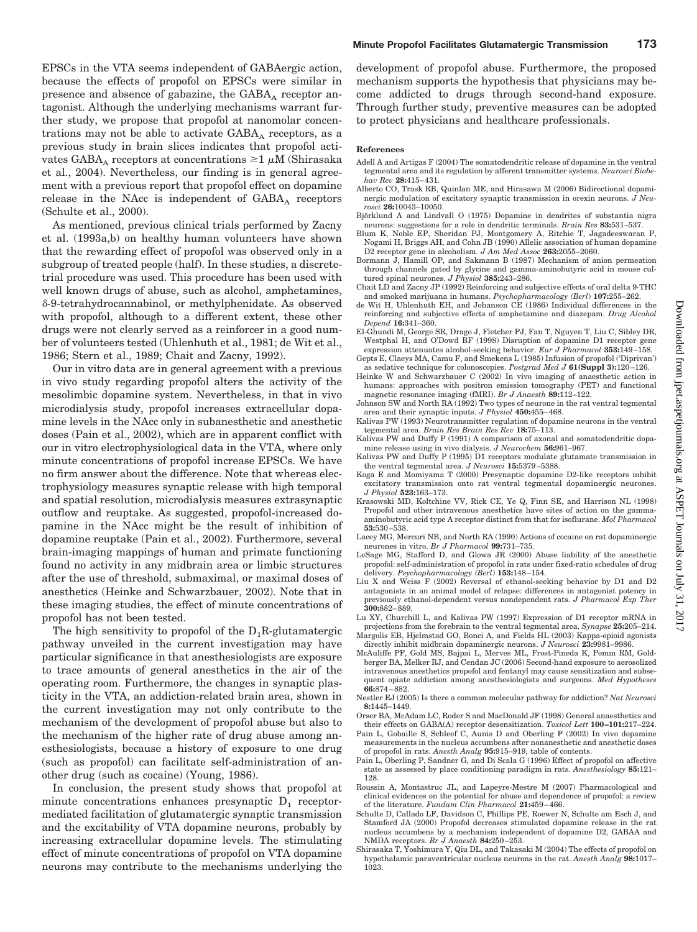EPSCs in the VTA seems independent of GABAergic action, because the effects of propofol on EPSCs were similar in presence and absence of gabazine, the  $GABA_A$  receptor antagonist. Although the underlying mechanisms warrant further study, we propose that propofol at nanomolar concentrations may not be able to activate  $GABA_A$  receptors, as a previous study in brain slices indicates that propofol activates GABA<sub>A</sub> receptors at concentrations  $\geq 1 \mu M$  (Shirasaka et al., 2004). Nevertheless, our finding is in general agreement with a previous report that propofol effect on dopamine release in the NAcc is independent of  $GABA<sub>A</sub>$  receptors (Schulte et al., 2000).

As mentioned, previous clinical trials performed by Zacny et al. (1993a,b) on healthy human volunteers have shown that the rewarding effect of propofol was observed only in a subgroup of treated people (half). In these studies, a discretetrial procedure was used. This procedure has been used with well known drugs of abuse, such as alcohol, amphetamines, -9-tetrahydrocannabinol, or methylphenidate. As observed with propofol, although to a different extent, these other drugs were not clearly served as a reinforcer in a good number of volunteers tested (Uhlenhuth et al., 1981; de Wit et al., 1986; Stern et al., 1989; Chait and Zacny, 1992).

Our in vitro data are in general agreement with a previous in vivo study regarding propofol alters the activity of the mesolimbic dopamine system. Nevertheless, in that in vivo microdialysis study, propofol increases extracellular dopamine levels in the NAcc only in subanesthetic and anesthetic doses (Pain et al., 2002), which are in apparent conflict with our in vitro electrophysiological data in the VTA, where only minute concentrations of propofol increase EPSCs. We have no firm answer about the difference. Note that whereas electrophysiology measures synaptic release with high temporal and spatial resolution, microdialysis measures extrasynaptic outflow and reuptake. As suggested, propofol-increased dopamine in the NAcc might be the result of inhibition of dopamine reuptake (Pain et al., 2002). Furthermore, several brain-imaging mappings of human and primate functioning found no activity in any midbrain area or limbic structures after the use of threshold, submaximal, or maximal doses of anesthetics (Heinke and Schwarzbauer, 2002). Note that in these imaging studies, the effect of minute concentrations of propofol has not been tested.

The high sensitivity to propofol of the  $D_1R$ -glutamatergic pathway unveiled in the current investigation may have particular significance in that anesthesiologists are exposure to trace amounts of general anesthetics in the air of the operating room. Furthermore, the changes in synaptic plasticity in the VTA, an addiction-related brain area, shown in the current investigation may not only contribute to the mechanism of the development of propofol abuse but also to the mechanism of the higher rate of drug abuse among anesthesiologists, because a history of exposure to one drug (such as propofol) can facilitate self-administration of another drug (such as cocaine) (Young, 1986).

In conclusion, the present study shows that propofol at minute concentrations enhances presynaptic  $D_1$  receptormediated facilitation of glutamatergic synaptic transmission and the excitability of VTA dopamine neurons, probably by increasing extracellular dopamine levels. The stimulating effect of minute concentrations of propofol on VTA dopamine neurons may contribute to the mechanisms underlying the

development of propofol abuse. Furthermore, the proposed mechanism supports the hypothesis that physicians may become addicted to drugs through second-hand exposure. Through further study, preventive measures can be adopted to protect physicians and healthcare professionals.

#### **References**

- Adell A and Artigas F (2004) The somatodendritic release of dopamine in the ventral tegmental area and its regulation by afferent transmitter systems. *Neurosci Biobehav Rev* **28:**415– 431.
- Alberto CO, Trask RB, Quinlan ME, and Hirasawa M (2006) Bidirectional dopaminergic modulation of excitatory synaptic transmission in orexin neurons. *J Neurosci* **26:**10043–10050.
- Björklund A and Lindvall O (1975) Dopamine in dendrites of substantia nigra neurons: suggestions for a role in dendritic terminals. *Brain Res* **83:**531–537.
- Blum K, Noble EP, Sheridan PJ, Montgomery A, Ritchie T, Jagadeeswaran P, Nogami H, Briggs AH, and Cohn JB (1990) Allelic association of human dopamine D2 receptor gene in alcoholism. *J Am Med Assoc* **263:**2055–2060.
- Bormann J, Hamill OP, and Sakmann B (1987) Mechanism of anion permeation through channels gated by glycine and gamma-aminobutyric acid in mouse cultured spinal neurones. *J Physiol* **385:**243–286.
- Chait LD and Zacny JP (1992) Reinforcing and subjective effects of oral delta 9-THC and smoked marijuana in humans. *Psychopharmacology (Berl*) **107:**255–262.
- de Wit H, Uhlenhuth EH, and Johanson CE (1986) Individual differences in the reinforcing and subjective effects of amphetamine and diazepam. *Drug Alcohol Depend* **16:**341–360.
- El-Ghundi M, George SR, Drago J, Fletcher PJ, Fan T, Nguyen T, Liu C, Sibley DR, Westphal H, and O'Dowd BF (1998) Disruption of dopamine D1 receptor gene expression attenuates alcohol-seeking behavior. *Eur J Pharmacol* **353:**149 –158.
- Gepts E, Claeys MA, Camu F, and Smekens L (1985) Infusion of propofol ('Diprivan') as sedative technique for colonoscopies. *Postgrad Med J* **61(Suppl 3):**120 –126.
- Heinke W and Schwarzbauer C (2002) In vivo imaging of anaesthetic action in humans: approaches with positron emission tomography (PET) and functional magnetic resonance imaging (fMRI). *Br J Anaesth* **89:**112–122.
- Johnson SW and North RA (1992) Two types of neurone in the rat ventral tegmental area and their synaptic inputs. *J Physiol* **450:**455– 468.
- Kalivas PW (1993) Neurotransmitter regulation of dopamine neurons in the ventral tegmental area. *Brain Res Brain Res Rev* **18:**75–113.
- Kalivas PW and Duffy P (1991) A comparison of axonal and somatodendritic dopamine release using in vivo dialysis. *J Neurochem* **56:**961–967.
- Kalivas PW and Duffy P (1995) D1 receptors modulate glutamate transmission in the ventral tegmental area. *J Neurosci* **15:**5379 –5388.
- Koga E and Momiyama T (2000) Presynaptic dopamine D2-like receptors inhibit excitatory transmission onto rat ventral tegmental dopaminergic neurones. *J Physiol* **523:**163–173.
- Krasowski MD, Koltchine VV, Rick CE, Ye Q, Finn SE, and Harrison NL (1998) Propofol and other intravenous anesthetics have sites of action on the gammaaminobutyric acid type A receptor distinct from that for isoflurane. *Mol Pharmacol* **53:**530 –538.
- Lacey MG, Mercuri NB, and North RA (1990) Actions of cocaine on rat dopaminergic neurones in vitro. *Br J Pharmacol* **99:**731–735.
- LeSage MG, Stafford D, and Glowa JR (2000) Abuse liability of the anesthetic propofol: self-administration of propofol in rats under fixed-ratio schedules of drug delivery. *Psychopharmacology (Berl*) **153:**148 –154.
- Liu X and Weiss F (2002) Reversal of ethanol-seeking behavior by D1 and D2 antagonists in an animal model of relapse: differences in antagonist potency in previously ethanol-dependent versus nondependent rats. *J Pharmacol Exp Ther* **300:**882– 889.
- Lu XY, Churchill L, and Kalivas PW (1997) Expression of D1 receptor mRNA in projections from the forebrain to the ventral tegmental area. *Synapse* **25:**205–214.
- Margolis EB, Hjelmstad GO, Bonci A, and Fields HL (2003) Kappa-opioid agonists directly inhibit midbrain dopaminergic neurons. *J Neurosci* **23:**9981–9986. McAuliffe PF, Gold MS, Bajpai L, Merves ML, Frost-Pineda K, Pomm RM, Gold-
- berger BA, Melker RJ, and Cendan JC (2006) Second-hand exposure to aerosolized intravenous anesthetics propofol and fentanyl may cause sensitization and subsequent opiate addiction among anesthesiologists and surgeons. *Med Hypotheses* **66:**874 – 882.
- Nestler EJ (2005) Is there a common molecular pathway for addiction? *Nat Neurosci* **8:**1445–1449.
- Orser BA, McAdam LC, Roder S and MacDonald JF (1998) General anaesthetics and their effects on GABA(A) receptor desensitization. *Toxicol Lett* **100 –101:**217–224.
- Pain L, Gobaille S, Schleef C, Aunis D and Oberling P (2002) In vivo dopamine measurements in the nucleus accumbens after nonanesthetic and anesthetic doses of propofol in rats. *Anesth Analg* **95:**915–919, table of contents.
- Pain L, Oberling P, Sandner G, and Di Scala G (1996) Effect of propofol on affective state as assessed by place conditioning paradigm in rats. *Anesthesiology* **85:**121– 128.
- Roussin A, Montastruc JL, and Lapeyre-Mestre M (2007) Pharmacological and clinical evidences on the potential for abuse and dependence of propofol: a review of the literature. *Fundam Clin Pharmacol* **21:**459 – 466.
- Schulte D, Callado LF, Davidson C, Phillips PE, Roewer N, Schulte am Esch J, and Stamford JA (2000) Propofol decreases stimulated dopamine release in the rat nucleus accumbens by a mechanism independent of dopamine D2, GABAA and NMDA receptors. *Br J Anaesth* **84:**250 –253.
- Shirasaka T, Yoshimura Y, Qiu DL, and Takasaki M (2004) The effects of propofol on hypothalamic paraventricular nucleus neurons in the rat. *Anesth Analg* **98:**1017– 1023.